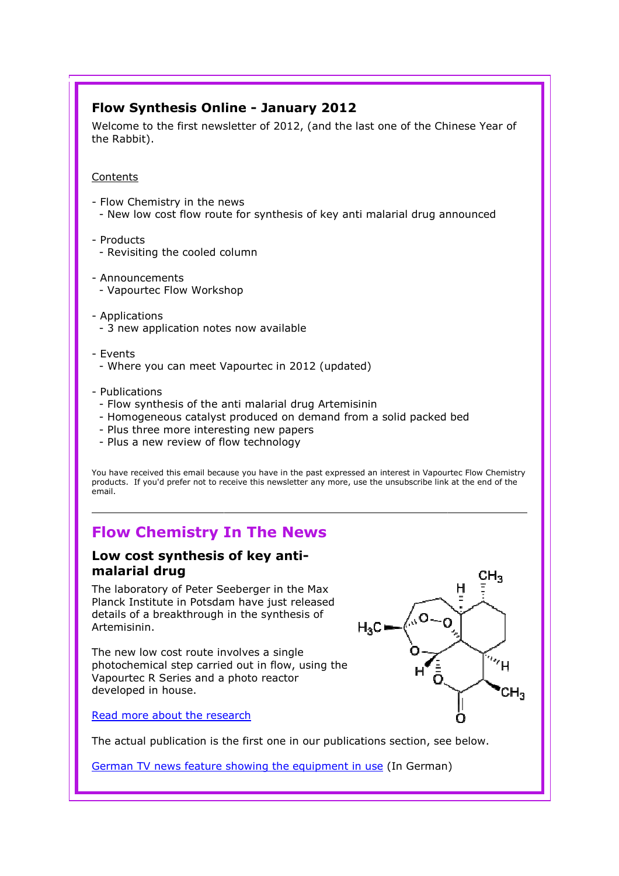# Flow Synthesis Online - January 2012

Welcome to the first newsletter of 2012, (and the last one of the Chinese Year of the Rabbit).

#### **Contents**

- Flow Chemistry in the news - New low cost flow route for synthesis of key anti malarial drug announced announced
- Products
	- Revisiting the cooled column
- Announcements - Vapourtec Flow Workshop
- Applications - 3 new application notes now available
- Events
	- Where you can meet Vapourtec in 2012 (updated)
- Publications
	- Flow synthesis of the anti malarial drug Artemisinin
	- Homogeneous catalyst produced on demand from a solid packed bed
	- Plus three more interesting new papers
	- Plus a new review of flow technology

You have received this email because you have in the past expressed an interest in Vapourtec Flow Chemistry products. If you'd prefer not to receive this newsletter any more, use the unsubscribe link at the end of the email.

# Flow Chemistry In The News

# Low cost synthesis of key antimalarial drug

The laboratory of Peter Seeberger in the Max Planck Institute in Potsdam have just released details of a breakthrough in the synthesis of Artemisinin.

The new low cost route involves a single photochemical step carried out in flow, using the Vapourtec R Series and a photo reactor developed in house.



Read more about the research

The actual publication is the first one in our publications section, see below.

German TV news feature showing the equipment in use (In German)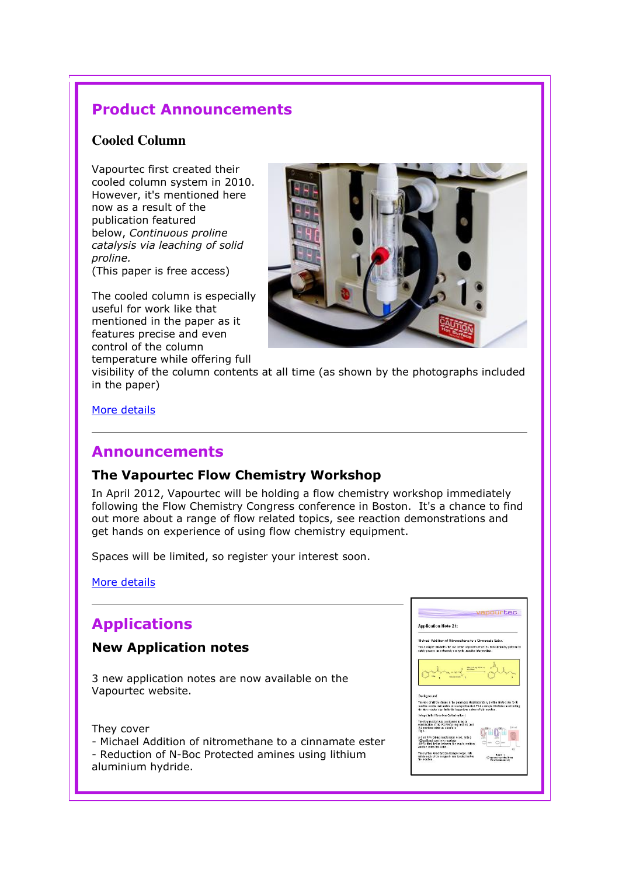# Product Announcements

## **Cooled Column**

Vapourtec first created their cooled column system in 2010. However, it's mentioned here now as a result of the publication featured below, Continuous proline catalysis via leaching of solid proline.

(This paper is free access)

The cooled column is especially useful for work like that mentioned in the paper as it features precise and even control of the column temperature while offering full



visibility of the column contents at all time (as shown by the photographs included in the paper)

More details

# Announcements

### The Vapourtec Flow Chemistry Workshop

In April 2012, Vapourtec will be holding a flow chemistry workshop immediately following the Flow Chemistry Congress conference in Boston. It's a chance to find out more about a range of flow related topics, see reaction demonstrations and get hands on experience of using flow chemistry equipment.

Spaces will be limited, so register your interest soon.

More details

# Applications

#### New Application notes

3 new application notes are now available on the Vapourtec website.

They cover

- Michael Addition of nitromethane to a cinnamate ester
- Reduction of N-Boc Protected amines using lithium

aluminium hydride.

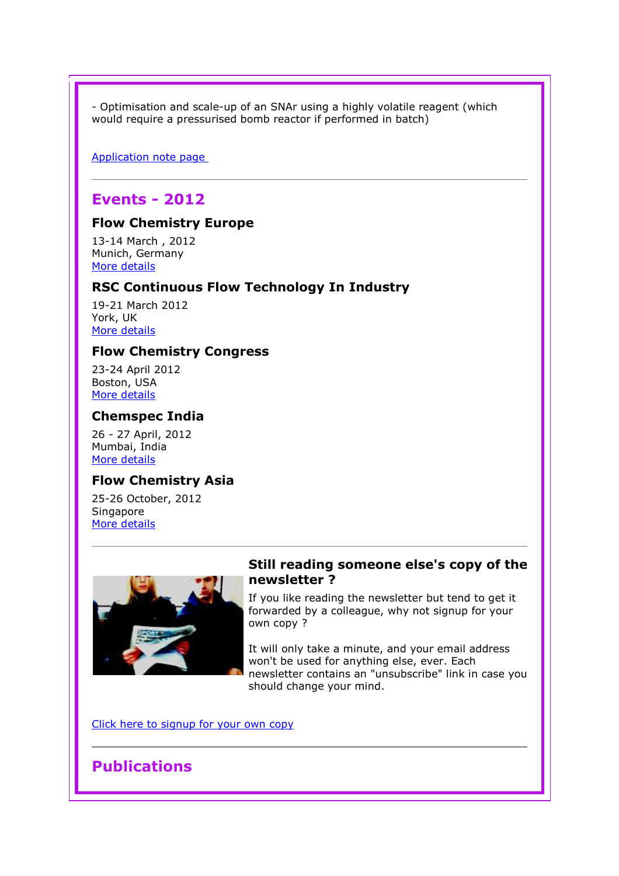- Optimisation and scale-up of an SNAr using a highly volatile reagent (which would require a pressurised bomb reactor if performed in batch)

Application note page

# Events - 2012

## Flow Chemistry Europe

13-14 March , 2012 Munich, Germany More details

#### RSC Continuous Flow Technology In Industry

19-21 March 2012 York, UK More details

#### Flow Chemistry Congress

23-24 April 2012 Boston, USA More details

#### Chemspec India

26 - 27 April, 2012 Mumbai, India More details

#### Flow Chemistry Asia

25-26 October, 2012 **Singapore** More details



#### Still reading someone else's copy of the newsletter ?

If you like reading the newsletter but tend to get it forwarded by a colleague, why not signup for your own copy ?

It will only take a minute, and your email address won't be used for anything else, ever. Each newsletter contains an "unsubscribe" link in case you should change your mind.

Click here to signup for your own copy

# **Publications**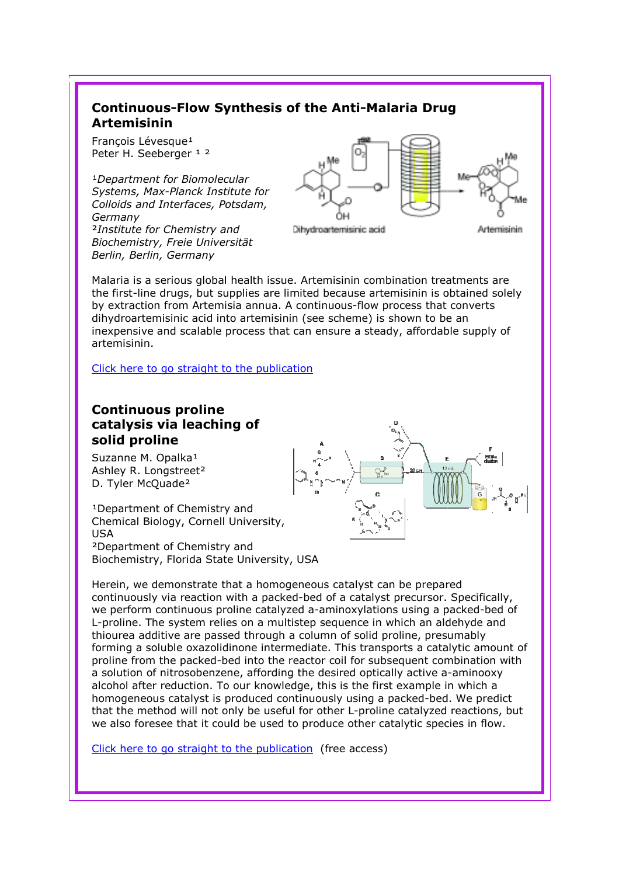# Continuous-Flow Synthesis of the Anti-Malaria Drug Artemisinin

François Lévesque<sup>1</sup> Peter H. Seeberger 1 2

<sup>1</sup>Department for Biomolecular Systems, Max-Planck Institute for Colloids and Interfaces, Potsdam, Germany ²Institute for Chemistry and Biochemistry, Freie Universität Berlin, Berlin, Germany



Dihydroartemisinic acid

Artemisinin

Malaria is a serious global health issue. Artemisinin combination treatments are the first-line drugs, but supplies are limited because artemisinin is obtained solely the first-line drugs, but supplies are limited because artemisinin is obtained s<br>by extraction from Artemisia annua. A continuous-flow process that converts dihydroartemisinic acid into artemisinin (see scheme) is shown to be an inexpensive and scalable process that can ensure a steady, affordable supply of artemisinin. dihydroartemisinic acid into artemisinin (s<br>inexpensive and scalable process that can<br>artemisinin.<br>Click here to go straight to the publication

# Continuous proline catalysis via leaching of solid proline

Suzanne M. Opalka<sup>1</sup> Ashley R. Longstreet² D. Tyler McQuade<sup>2</sup>

<sup>1</sup>Department of Chemistry and Chemical Biology, Cornell University, USA ²Department of Chemistry and Biochemistry, Florida State University, USA



Herein, we demonstrate that a homogeneous catalyst can be prepared continuously via reaction with a packed-bed of a catalyst precursor. Specifically, we perform continuous proline catalyzed a a-aminoxylations using a packed L-proline. The system relies on a multistep sequence in which an aldehyde and L-proline. The system relies on a multistep sequence in which an aldehyde a<br>thiourea additive are passed through a column of solid proline, presumably forming a soluble oxazolidinone intermediate. This transports a catalytic amount of proline from the packed-bed into the reactor coil for subsequent combination with thiourea additive are passed through a column of solid proline, presumably<br>forming a soluble oxazolidinone intermediate. This transports a catalytic amour<br>proline from the packed-bed into the reactor coil for subsequent co alcohol after reduction. To our knowledge, this is the first example in which a homogeneous catalyst is produced continuously using a packed packed-bed. We predict homogeneous catalyst is produced continuously using a packed-bed. We predict<br>that the method will not only be useful for other L-proline catalyzed reactions, but we also foresee that it could be used to produce other catalytic species in flow.

Click here to go straight to the publication (free access)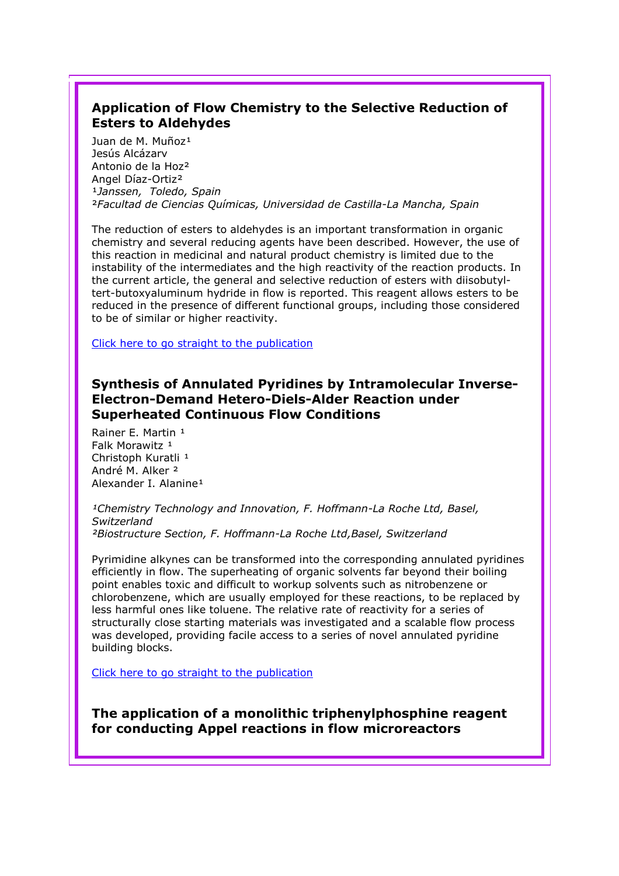# Application of Flow Chemistry to the Selective Reduction of Esters to Aldehydes

Juan de M. Muñoz<sup>1</sup> Jesús Alcázarv Antonio de la Hoz² Angel Díaz-Ortiz² 1Janssen, Toledo, Spain ²Facultad de Ciencias Químicas, Universidad de Castilla-La Mancha, Spain

The reduction of esters to aldehydes is an important transformation in organic chemistry and several reducing agents have been described. However, the use of this reaction in medicinal and natural product chemistry is limited due to the instability of the intermediates and the high reactivity of the reaction products. In the current article, the general and selective reduction of esters with diisobutyltert-butoxyaluminum hydride in flow is reported. This reagent allows esters to be reduced in the presence of different functional groups, including those considered to be of similar or higher reactivity.

Click here to go straight to the publication

## Synthesis of Annulated Pyridines by Intramolecular Inverse-Electron-Demand Hetero-Diels-Alder Reaction under Superheated Continuous Flow Conditions

Rainer E. Martin 1 Falk Morawitz<sup>1</sup> Christoph Kuratli <sup>1</sup> André M. Alker ² Alexander I. Alanine<sup>1</sup>

<sup>1</sup>Chemistry Technology and Innovation, F. Hoffmann-La Roche Ltd, Basel, Switzerland

²Biostructure Section, F. Hoffmann-La Roche Ltd,Basel, Switzerland

Pyrimidine alkynes can be transformed into the corresponding annulated pyridines efficiently in flow. The superheating of organic solvents far beyond their boiling point enables toxic and difficult to workup solvents such as nitrobenzene or chlorobenzene, which are usually employed for these reactions, to be replaced by less harmful ones like toluene. The relative rate of reactivity for a series of structurally close starting materials was investigated and a scalable flow process was developed, providing facile access to a series of novel annulated pyridine building blocks.

Click here to go straight to the publication

The application of a monolithic triphenylphosphine reagent for conducting Appel reactions in flow microreactors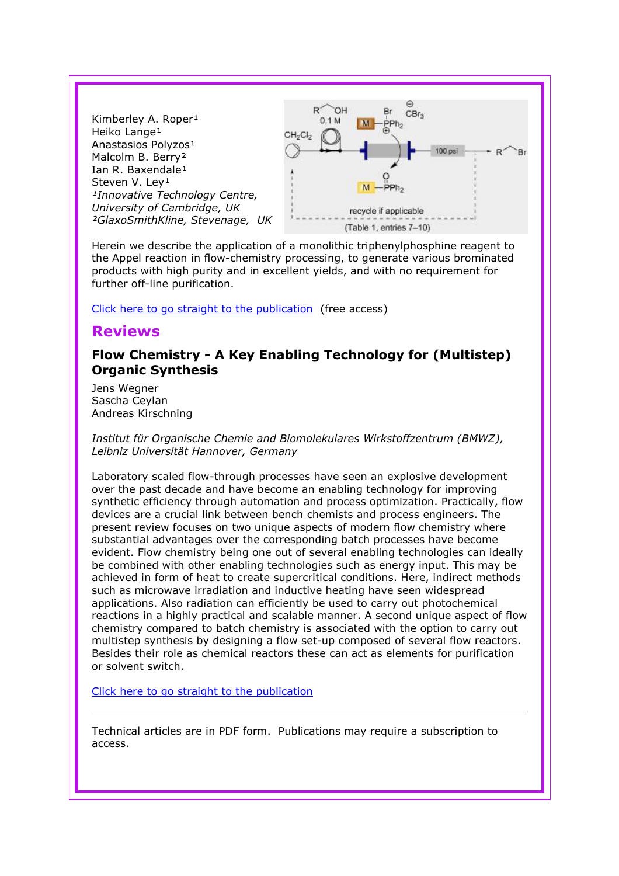

Herein we describe the application of a monolithic triphenylphosphine reagent to the Appel reaction in flow-chemistry processing, to generate various brominated products with high purity and in excellent yields, and with no requirement for further off-line purification.

Click here to go straight to the publication (free access)

## Reviews

## Flow Chemistry - A Key Enabling Technology for (Multistep) Organic Synthesis

Jens Wegner Sascha Ceylan Andreas Kirschning

Institut für Organische Chemie and Biomolekulares Wirkstoffzentrum (BMWZ), Leibniz Universität Hannover, Germany

Laboratory scaled flow-through processes have seen an explosive development over the past decade and have become an enabling technology for improving synthetic efficiency through automation and process optimization. Practically, flow devices are a crucial link between bench chemists and process engineers. The present review focuses on two unique aspects of modern flow chemistry where substantial advantages over the corresponding batch processes have become evident. Flow chemistry being one out of several enabling technologies can ideally be combined with other enabling technologies such as energy input. This may be achieved in form of heat to create supercritical conditions. Here, indirect methods such as microwave irradiation and inductive heating have seen widespread applications. Also radiation can efficiently be used to carry out photochemical reactions in a highly practical and scalable manner. A second unique aspect of flow chemistry compared to batch chemistry is associated with the option to carry out multistep synthesis by designing a flow set-up composed of several flow reactors. Besides their role as chemical reactors these can act as elements for purification or solvent switch.

Click here to go straight to the publication

Technical articles are in PDF form. Publications may require a subscription to access.